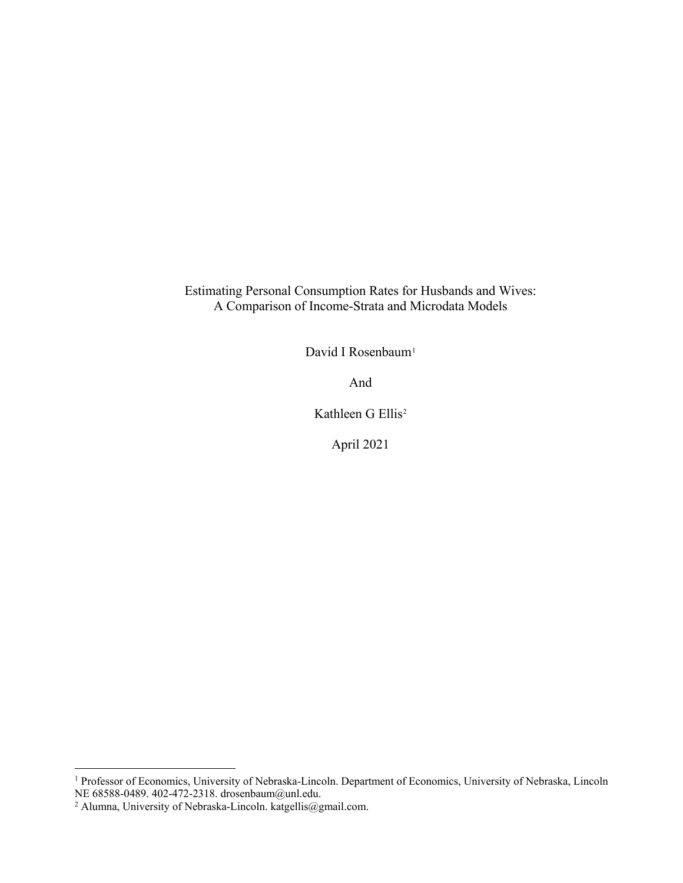Estimating Personal Consumption Rates for Husbands and Wives: A Comparison of Income-Strata and Microdata Models

David I Rosenbaum<sup>1</sup>

And

Kathleen G Ellis<sup>[2](#page-0-1)</sup>

April 2021

**.** 

<span id="page-0-0"></span><sup>&</sup>lt;sup>1</sup> Professor of Economics, University of Nebraska-Lincoln. Department of Economics, University of Nebraska, Lincoln NE 68588-0489. 402-472-2318. drosenbaum@unl.edu.

<span id="page-0-1"></span><sup>&</sup>lt;sup>2</sup> Alumna, University of Nebraska-Lincoln[. katgellis@gmail.com.](mailto:katgellis@gmail.com)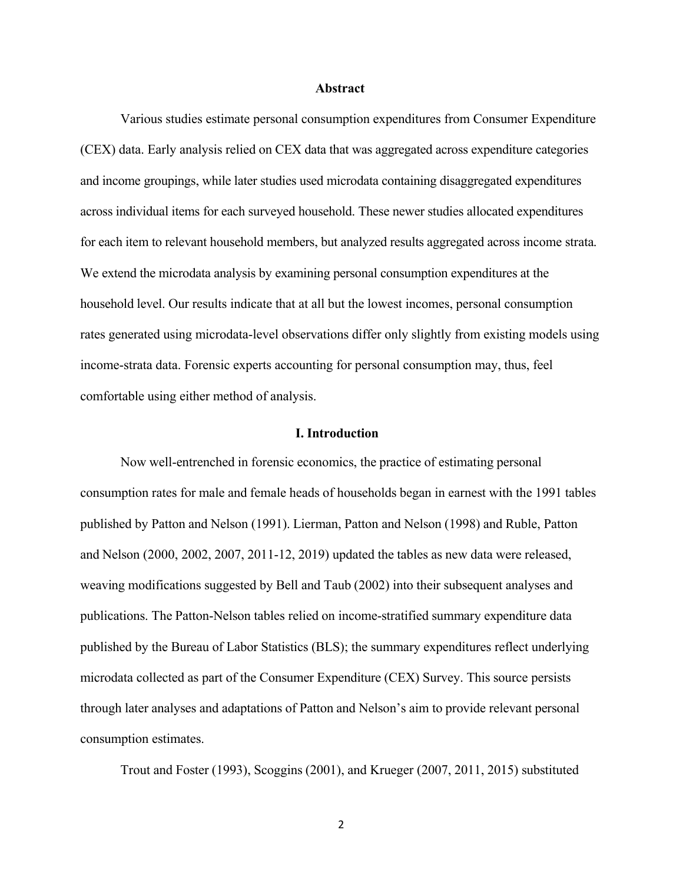#### **Abstract**

Various studies estimate personal consumption expenditures from Consumer Expenditure (CEX) data. Early analysis relied on CEX data that was aggregated across expenditure categories and income groupings, while later studies used microdata containing disaggregated expenditures across individual items for each surveyed household. These newer studies allocated expenditures for each item to relevant household members, but analyzed results aggregated across income strata. We extend the microdata analysis by examining personal consumption expenditures at the household level. Our results indicate that at all but the lowest incomes, personal consumption rates generated using microdata-level observations differ only slightly from existing models using income-strata data. Forensic experts accounting for personal consumption may, thus, feel comfortable using either method of analysis.

#### **I. Introduction**

Now well-entrenched in forensic economics, the practice of estimating personal consumption rates for male and female heads of households began in earnest with the 1991 tables published by Patton and Nelson (1991). Lierman, Patton and Nelson (1998) and Ruble, Patton and Nelson (2000, 2002, 2007, 2011-12, 2019) updated the tables as new data were released, weaving modifications suggested by Bell and Taub (2002) into their subsequent analyses and publications. The Patton-Nelson tables relied on income-stratified summary expenditure data published by the Bureau of Labor Statistics (BLS); the summary expenditures reflect underlying microdata collected as part of the Consumer Expenditure (CEX) Survey. This source persists through later analyses and adaptations of Patton and Nelson's aim to provide relevant personal consumption estimates.

Trout and Foster (1993), Scoggins (2001), and Krueger (2007, 2011, 2015) substituted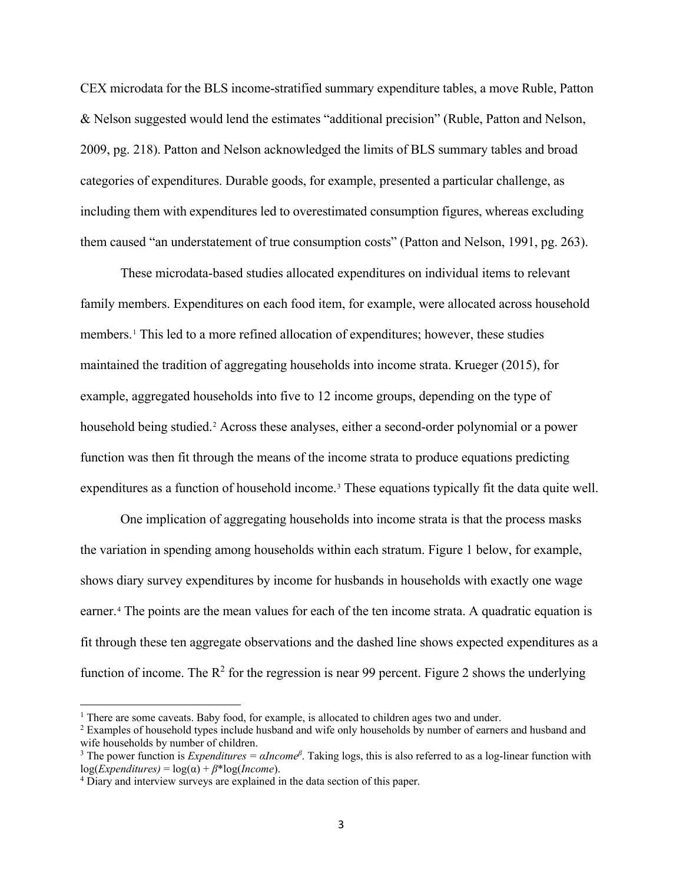CEX microdata for the BLS income-stratified summary expenditure tables, a move Ruble, Patton & Nelson suggested would lend the estimates "additional precision" (Ruble, Patton and Nelson, 2009, pg. 218). Patton and Nelson acknowledged the limits of BLS summary tables and broad categories of expenditures. Durable goods, for example, presented a particular challenge, as including them with expenditures led to overestimated consumption figures, whereas excluding them caused "an understatement of true consumption costs" (Patton and Nelson, 1991, pg. 263).

These microdata-based studies allocated expenditures on individual items to relevant family members. Expenditures on each food item, for example, were allocated across household members.[1](#page-2-0) This led to a more refined allocation of expenditures; however, these studies maintained the tradition of aggregating households into income strata. Krueger (2015), for example, aggregated households into five to 12 income groups, depending on the type of household being studied.<sup>[2](#page-2-1)</sup> Across these analyses, either a second-order polynomial or a power function was then fit through the means of the income strata to produce equations predicting expenditures as a function of household income.<sup>[3](#page-2-2)</sup> These equations typically fit the data quite well.

One implication of aggregating households into income strata is that the process masks the variation in spending among households within each stratum. Figure 1 below, for example, shows diary survey expenditures by income for husbands in households with exactly one wage earner.[4](#page-2-3) The points are the mean values for each of the ten income strata. A quadratic equation is fit through these ten aggregate observations and the dashed line shows expected expenditures as a function of income. The  $R^2$  for the regression is near 99 percent. Figure 2 shows the underlying

l

<span id="page-2-0"></span><sup>&</sup>lt;sup>1</sup> There are some caveats. Baby food, for example, is allocated to children ages two and under.

<span id="page-2-1"></span><sup>&</sup>lt;sup>2</sup> Examples of household types include husband and wife only households by number of earners and husband and wife households by number of children.

<span id="page-2-2"></span><sup>&</sup>lt;sup>3</sup> The power function is *Expenditures* =  $\alpha$ *Income*<sup> $\beta$ </sup>. Taking logs, this is also referred to as a log-linear function with  $log(Expenditures) = log(\alpha) + \beta * log(Income).$ 

<span id="page-2-3"></span><sup>4</sup> Diary and interview surveys are explained in the data section of this paper.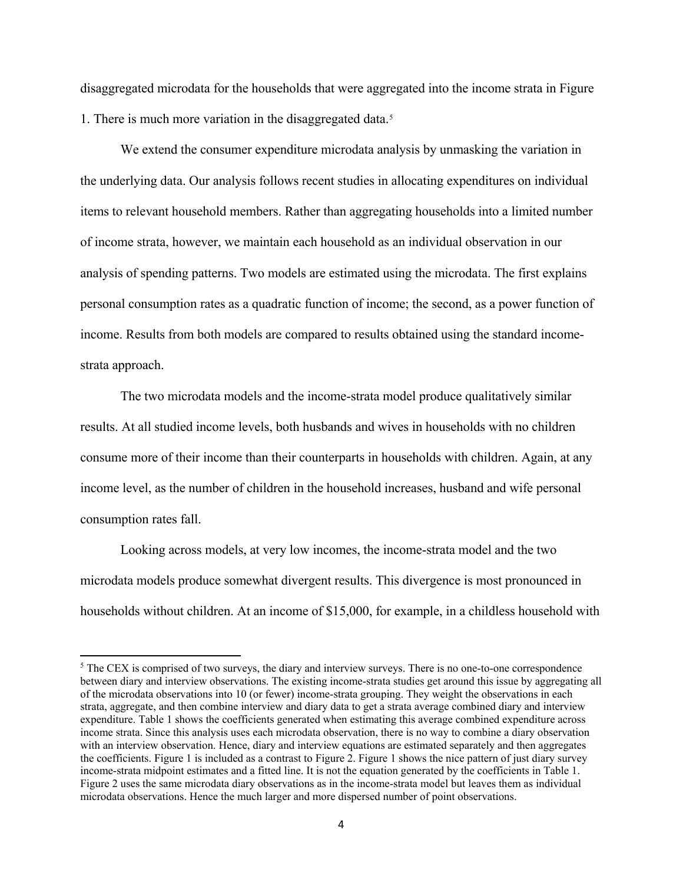disaggregated microdata for the households that were aggregated into the income strata in Figure 1. There is much more variation in the disaggregated data.[5](#page-3-0)

We extend the consumer expenditure microdata analysis by unmasking the variation in the underlying data. Our analysis follows recent studies in allocating expenditures on individual items to relevant household members. Rather than aggregating households into a limited number of income strata, however, we maintain each household as an individual observation in our analysis of spending patterns. Two models are estimated using the microdata. The first explains personal consumption rates as a quadratic function of income; the second, as a power function of income. Results from both models are compared to results obtained using the standard incomestrata approach.

The two microdata models and the income-strata model produce qualitatively similar results. At all studied income levels, both husbands and wives in households with no children consume more of their income than their counterparts in households with children. Again, at any income level, as the number of children in the household increases, husband and wife personal consumption rates fall.

Looking across models, at very low incomes, the income-strata model and the two microdata models produce somewhat divergent results. This divergence is most pronounced in households without children. At an income of \$15,000, for example, in a childless household with

 $\overline{\phantom{a}}$ 

<span id="page-3-0"></span><sup>&</sup>lt;sup>5</sup> The CEX is comprised of two surveys, the diary and interview surveys. There is no one-to-one correspondence between diary and interview observations. The existing income-strata studies get around this issue by aggregating all of the microdata observations into 10 (or fewer) income-strata grouping. They weight the observations in each strata, aggregate, and then combine interview and diary data to get a strata average combined diary and interview expenditure. Table 1 shows the coefficients generated when estimating this average combined expenditure across income strata. Since this analysis uses each microdata observation, there is no way to combine a diary observation with an interview observation. Hence, diary and interview equations are estimated separately and then aggregates the coefficients. Figure 1 is included as a contrast to Figure 2. Figure 1 shows the nice pattern of just diary survey income-strata midpoint estimates and a fitted line. It is not the equation generated by the coefficients in Table 1. Figure 2 uses the same microdata diary observations as in the income-strata model but leaves them as individual microdata observations. Hence the much larger and more dispersed number of point observations.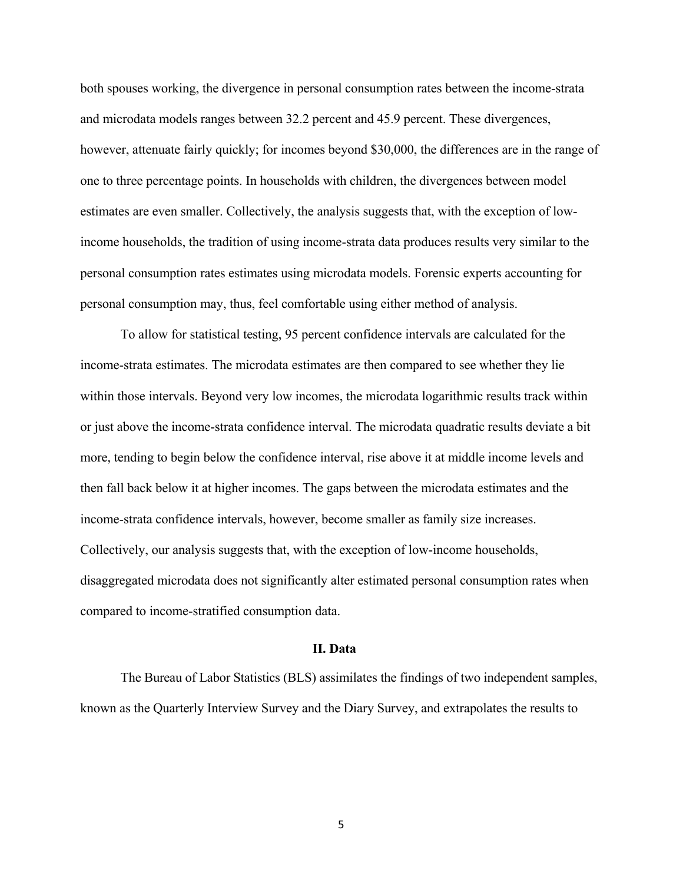both spouses working, the divergence in personal consumption rates between the income-strata and microdata models ranges between 32.2 percent and 45.9 percent. These divergences, however, attenuate fairly quickly; for incomes beyond \$30,000, the differences are in the range of one to three percentage points. In households with children, the divergences between model estimates are even smaller. Collectively, the analysis suggests that, with the exception of lowincome households, the tradition of using income-strata data produces results very similar to the personal consumption rates estimates using microdata models. Forensic experts accounting for personal consumption may, thus, feel comfortable using either method of analysis.

To allow for statistical testing, 95 percent confidence intervals are calculated for the income-strata estimates. The microdata estimates are then compared to see whether they lie within those intervals. Beyond very low incomes, the microdata logarithmic results track within or just above the income-strata confidence interval. The microdata quadratic results deviate a bit more, tending to begin below the confidence interval, rise above it at middle income levels and then fall back below it at higher incomes. The gaps between the microdata estimates and the income-strata confidence intervals, however, become smaller as family size increases. Collectively, our analysis suggests that, with the exception of low-income households, disaggregated microdata does not significantly alter estimated personal consumption rates when compared to income-stratified consumption data.

### **II. Data**

The Bureau of Labor Statistics (BLS) assimilates the findings of two independent samples, known as the Quarterly Interview Survey and the Diary Survey, and extrapolates the results to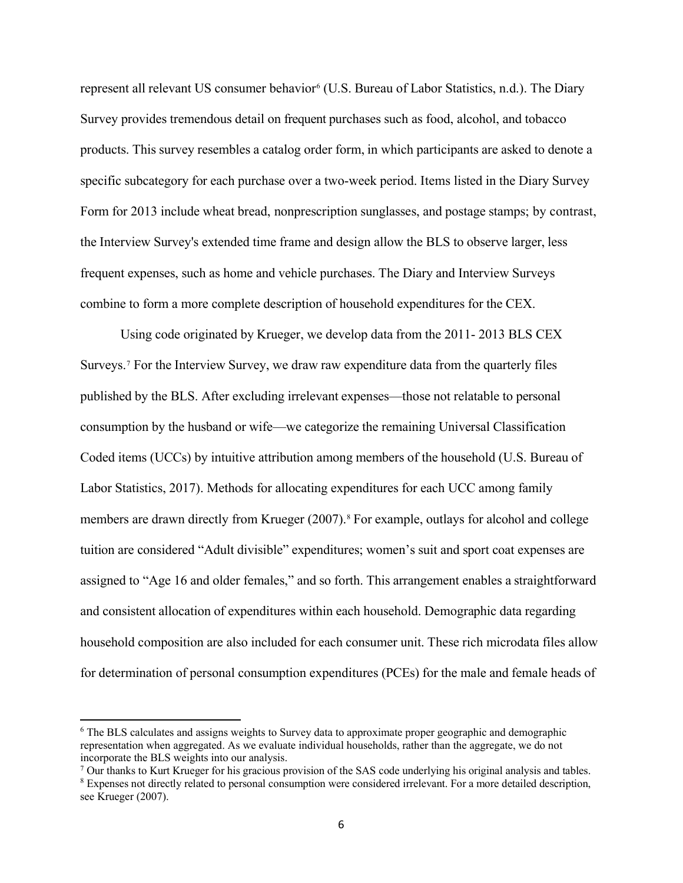represent all relevant US consumer behavior<sup>[6](#page-5-0)</sup> (U.S. Bureau of Labor Statistics, n.d.). The Diary Survey provides tremendous detail on frequent purchases such as food, alcohol, and tobacco products. This survey resembles a catalog order form, in which participants are asked to denote a specific subcategory for each purchase over a two-week period. Items listed in the Diary Survey Form for 2013 include wheat bread, nonprescription sunglasses, and postage stamps; by contrast, the Interview Survey's extended time frame and design allow the BLS to observe larger, less frequent expenses, such as home and vehicle purchases. The Diary and Interview Surveys combine to form a more complete description of household expenditures for the CEX.

Using code originated by Krueger, we develop data from the 2011- 2013 BLS CEX Surveys.<sup>[7](#page-5-1)</sup> For the Interview Survey, we draw raw expenditure data from the quarterly files published by the BLS. After excluding irrelevant expenses—those not relatable to personal consumption by the husband or wife—we categorize the remaining Universal Classification Coded items (UCCs) by intuitive attribution among members of the household (U.S. Bureau of Labor Statistics, 2017). Methods for allocating expenditures for each UCC among family members are drawn directly from Krueger (2007).<sup>[8](#page-5-2)</sup> For example, outlays for alcohol and college tuition are considered "Adult divisible" expenditures; women's suit and sport coat expenses are assigned to "Age 16 and older females," and so forth. This arrangement enables a straightforward and consistent allocation of expenditures within each household. Demographic data regarding household composition are also included for each consumer unit. These rich microdata files allow for determination of personal consumption expenditures (PCEs) for the male and female heads of

 $\overline{a}$ 

<span id="page-5-0"></span><sup>6</sup> The BLS calculates and assigns weights to Survey data to approximate proper geographic and demographic representation when aggregated. As we evaluate individual households, rather than the aggregate, we do not incorporate the BLS weights into our analysis.<br><sup>7</sup> Our thanks to Kurt Krueger for his gracious provision of the SAS code underlying his original analysis and tables.

<span id="page-5-1"></span>

<span id="page-5-2"></span><sup>8</sup> Expenses not directly related to personal consumption were considered irrelevant. For a more detailed description, see Krueger (2007).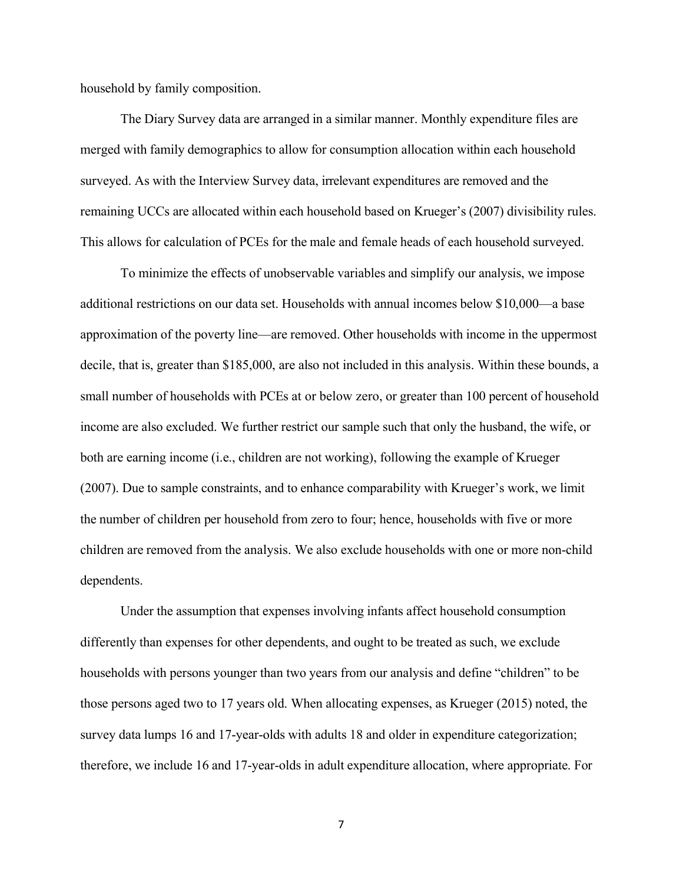household by family composition.

The Diary Survey data are arranged in a similar manner. Monthly expenditure files are merged with family demographics to allow for consumption allocation within each household surveyed. As with the Interview Survey data, irrelevant expenditures are removed and the remaining UCCs are allocated within each household based on Krueger's (2007) divisibility rules. This allows for calculation of PCEs for the male and female heads of each household surveyed.

To minimize the effects of unobservable variables and simplify our analysis, we impose additional restrictions on our data set. Households with annual incomes below \$10,000—a base approximation of the poverty line—are removed. Other households with income in the uppermost decile, that is, greater than \$185,000, are also not included in this analysis. Within these bounds, a small number of households with PCEs at or below zero, or greater than 100 percent of household income are also excluded. We further restrict our sample such that only the husband, the wife, or both are earning income (i.e., children are not working), following the example of Krueger (2007). Due to sample constraints, and to enhance comparability with Krueger's work, we limit the number of children per household from zero to four; hence, households with five or more children are removed from the analysis. We also exclude households with one or more non-child dependents.

Under the assumption that expenses involving infants affect household consumption differently than expenses for other dependents, and ought to be treated as such, we exclude households with persons younger than two years from our analysis and define "children" to be those persons aged two to 17 years old. When allocating expenses, as Krueger (2015) noted, the survey data lumps 16 and 17-year-olds with adults 18 and older in expenditure categorization; therefore, we include 16 and 17-year-olds in adult expenditure allocation, where appropriate. For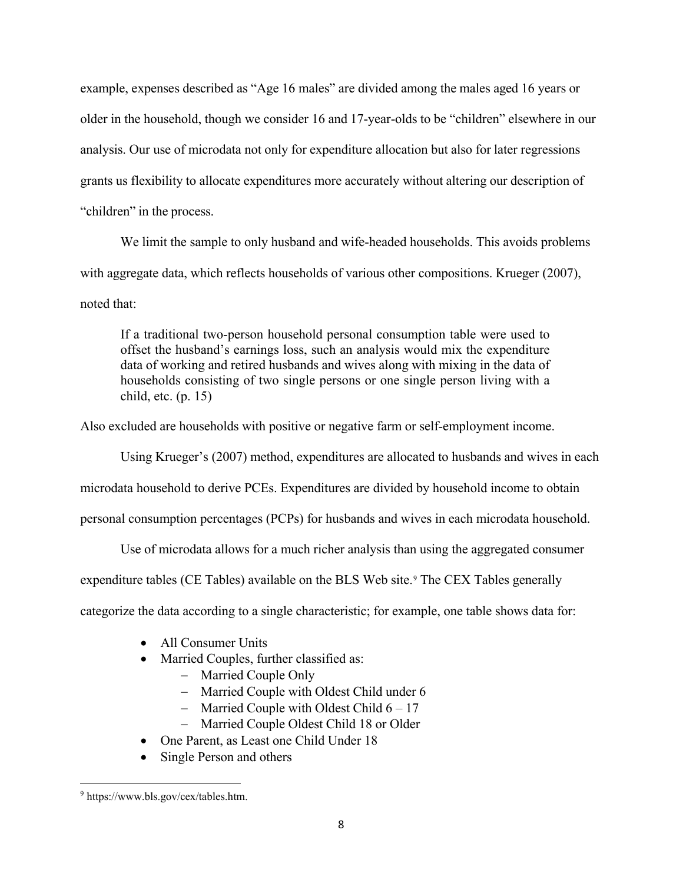example, expenses described as "Age 16 males" are divided among the males aged 16 years or older in the household, though we consider 16 and 17-year-olds to be "children" elsewhere in our analysis. Our use of microdata not only for expenditure allocation but also for later regressions grants us flexibility to allocate expenditures more accurately without altering our description of "children" in the process.

We limit the sample to only husband and wife-headed households. This avoids problems with aggregate data, which reflects households of various other compositions. Krueger (2007), noted that:

If a traditional two-person household personal consumption table were used to offset the husband's earnings loss, such an analysis would mix the expenditure data of working and retired husbands and wives along with mixing in the data of households consisting of two single persons or one single person living with a child, etc. (p. 15)

Also excluded are households with positive or negative farm or self-employment income.

Using Krueger's (2007) method, expenditures are allocated to husbands and wives in each

microdata household to derive PCEs. Expenditures are divided by household income to obtain

personal consumption percentages (PCPs) for husbands and wives in each microdata household.

Use of microdata allows for a much richer analysis than using the aggregated consumer

expenditure tables (CE Tables) available on the BLS Web site.<sup>[9](#page-7-0)</sup> The CEX Tables generally

categorize the data according to a single characteristic; for example, one table shows data for:

- All Consumer Units
- Married Couples, further classified as:
	- − Married Couple Only
	- − Married Couple with Oldest Child under 6
	- − Married Couple with Oldest Child 6 17
	- − Married Couple Oldest Child 18 or Older
- One Parent, as Least one Child Under 18
- Single Person and others

<span id="page-7-0"></span>l <sup>9</sup> https://www.bls.gov/cex/tables.htm.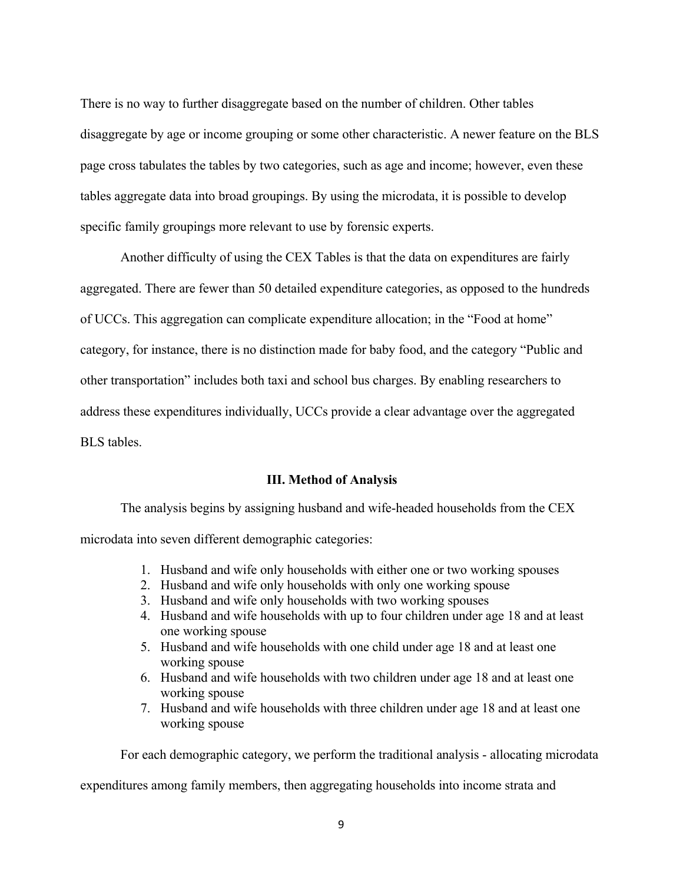There is no way to further disaggregate based on the number of children. Other tables disaggregate by age or income grouping or some other characteristic. A newer feature on the BLS page cross tabulates the tables by two categories, such as age and income; however, even these tables aggregate data into broad groupings. By using the microdata, it is possible to develop specific family groupings more relevant to use by forensic experts.

Another difficulty of using the CEX Tables is that the data on expenditures are fairly aggregated. There are fewer than 50 detailed expenditure categories, as opposed to the hundreds of UCCs. This aggregation can complicate expenditure allocation; in the "Food at home" category, for instance, there is no distinction made for baby food, and the category "Public and other transportation" includes both taxi and school bus charges. By enabling researchers to address these expenditures individually, UCCs provide a clear advantage over the aggregated BLS tables.

# **III. Method of Analysis**

The analysis begins by assigning husband and wife-headed households from the CEX microdata into seven different demographic categories:

- 1. Husband and wife only households with either one or two working spouses
- 2. Husband and wife only households with only one working spouse
- 3. Husband and wife only households with two working spouses
- 4. Husband and wife households with up to four children under age 18 and at least one working spouse
- 5. Husband and wife households with one child under age 18 and at least one working spouse
- 6. Husband and wife households with two children under age 18 and at least one working spouse
- 7. Husband and wife households with three children under age 18 and at least one working spouse

For each demographic category, we perform the traditional analysis - allocating microdata

expenditures among family members, then aggregating households into income strata and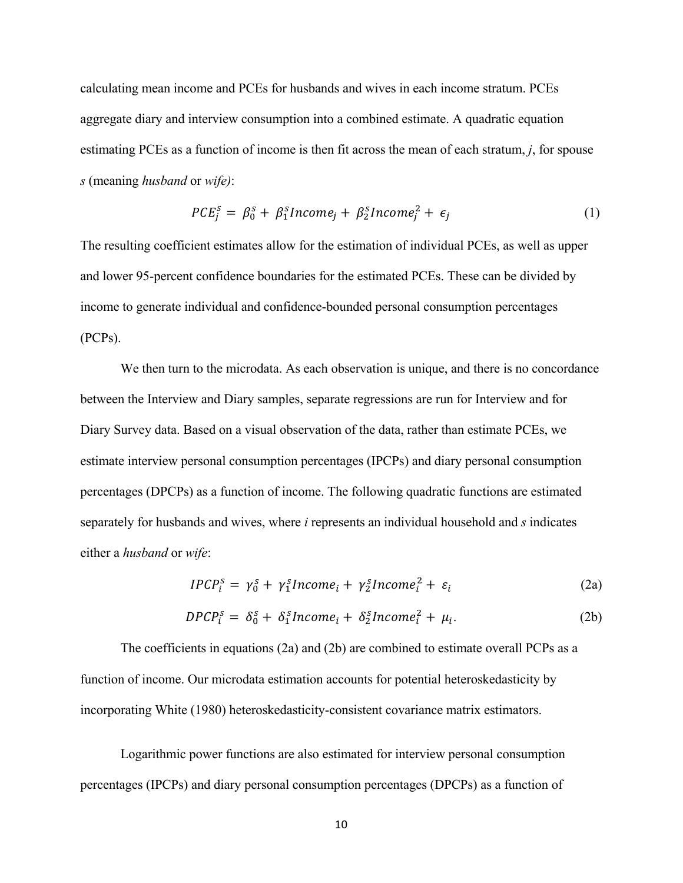calculating mean income and PCEs for husbands and wives in each income stratum. PCEs aggregate diary and interview consumption into a combined estimate. A quadratic equation estimating PCEs as a function of income is then fit across the mean of each stratum, *j*, for spouse *s* (meaning *husband* or *wife)*:

$$
PCE_j^s = \beta_0^s + \beta_1^s Income_j + \beta_2^s Income_j^2 + \epsilon_j \tag{1}
$$

The resulting coefficient estimates allow for the estimation of individual PCEs, as well as upper and lower 95-percent confidence boundaries for the estimated PCEs. These can be divided by income to generate individual and confidence-bounded personal consumption percentages (PCPs).

We then turn to the microdata. As each observation is unique, and there is no concordance between the Interview and Diary samples, separate regressions are run for Interview and for Diary Survey data. Based on a visual observation of the data, rather than estimate PCEs, we estimate interview personal consumption percentages (IPCPs) and diary personal consumption percentages (DPCPs) as a function of income. The following quadratic functions are estimated separately for husbands and wives, where *i* represents an individual household and *s* indicates either a *husband* or *wife*:

$$
IPCP_i^s = \gamma_0^s + \gamma_1^s Income_i + \gamma_2^s Income_i^2 + \varepsilon_i \tag{2a}
$$

$$
DPCP_i^s = \delta_0^s + \delta_1^s Income_i + \delta_2^s Income_i^2 + \mu_i. \tag{2b}
$$

The coefficients in equations (2a) and (2b) are combined to estimate overall PCPs as a function of income. Our microdata estimation accounts for potential heteroskedasticity by incorporating White (1980) heteroskedasticity-consistent covariance matrix estimators.

Logarithmic power functions are also estimated for interview personal consumption percentages (IPCPs) and diary personal consumption percentages (DPCPs) as a function of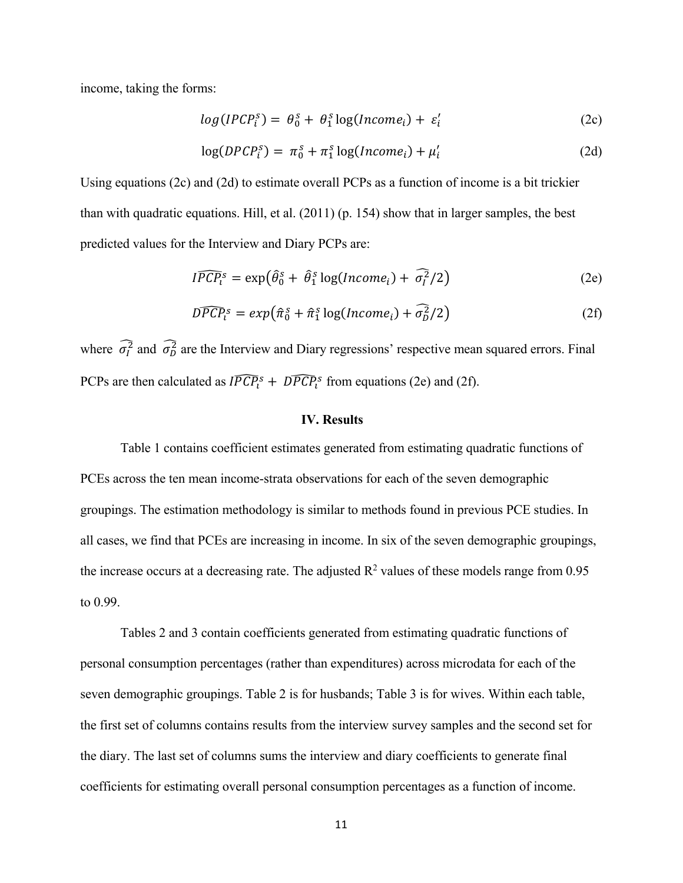income, taking the forms:

$$
log(IPCP_i^s) = \theta_0^s + \theta_1^s \log(Income_i) + \varepsilon_i' \tag{2c}
$$

$$
\log(DPCP_i^s) = \pi_0^s + \pi_1^s \log(Income_i) + \mu_i'
$$
\n(2d)

Using equations (2c) and (2d) to estimate overall PCPs as a function of income is a bit trickier than with quadratic equations. Hill, et al. (2011) (p. 154) show that in larger samples, the best predicted values for the Interview and Diary PCPs are:

$$
I\widehat{PCP}_{l}^{s} = \exp\left(\widehat{\theta}_{0}^{s} + \widehat{\theta}_{1}^{s} \log(Income_{i}) + \widehat{\sigma}_{l}^{2}/2\right)
$$
 (2e)

$$
\widehat{DPCP_i}^s = exp(\hat{\pi}_0^s + \hat{\pi}_1^s \log(Income_i) + \widehat{\sigma}_D^2/2)
$$
\n(2f)

where  $\sigma_l^2$  and  $\sigma_D^2$  are the Interview and Diary regressions' respective mean squared errors. Final PCPs are then calculated as  $I \widehat{PCP_i}^s + \widehat{DPCP_i}^s$  from equations (2e) and (2f).

# **IV. Results**

Table 1 contains coefficient estimates generated from estimating quadratic functions of PCEs across the ten mean income-strata observations for each of the seven demographic groupings. The estimation methodology is similar to methods found in previous PCE studies. In all cases, we find that PCEs are increasing in income. In six of the seven demographic groupings, the increase occurs at a decreasing rate. The adjusted  $R^2$  values of these models range from 0.95 to 0.99.

Tables 2 and 3 contain coefficients generated from estimating quadratic functions of personal consumption percentages (rather than expenditures) across microdata for each of the seven demographic groupings. Table 2 is for husbands; Table 3 is for wives. Within each table, the first set of columns contains results from the interview survey samples and the second set for the diary. The last set of columns sums the interview and diary coefficients to generate final coefficients for estimating overall personal consumption percentages as a function of income.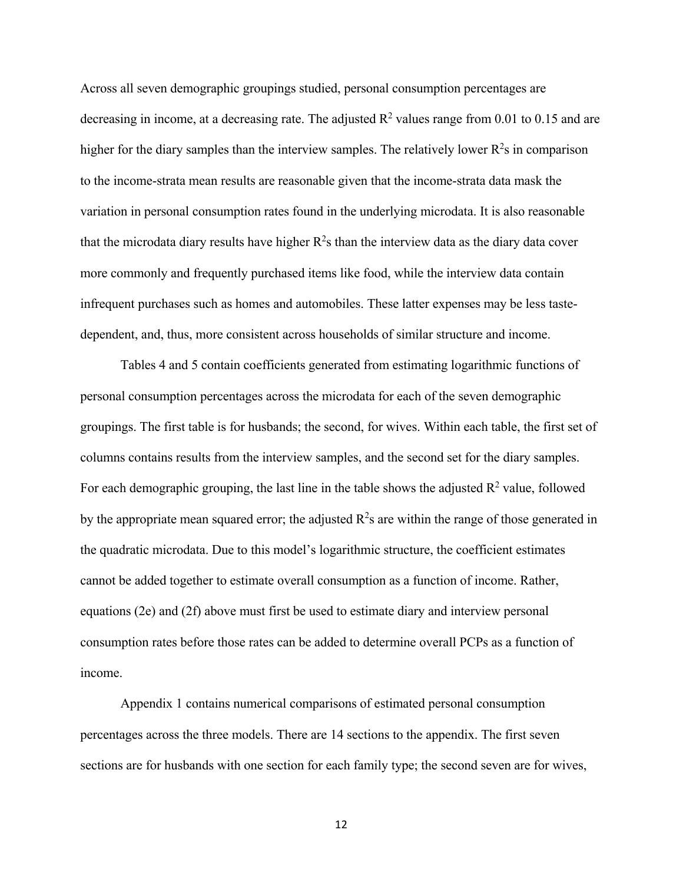Across all seven demographic groupings studied, personal consumption percentages are decreasing in income, at a decreasing rate. The adjusted  $\mathbb{R}^2$  values range from 0.01 to 0.15 and are higher for the diary samples than the interview samples. The relatively lower  $R^2$ s in comparison to the income-strata mean results are reasonable given that the income-strata data mask the variation in personal consumption rates found in the underlying microdata. It is also reasonable that the microdata diary results have higher  $R^2$ s than the interview data as the diary data cover more commonly and frequently purchased items like food, while the interview data contain infrequent purchases such as homes and automobiles. These latter expenses may be less tastedependent, and, thus, more consistent across households of similar structure and income.

Tables 4 and 5 contain coefficients generated from estimating logarithmic functions of personal consumption percentages across the microdata for each of the seven demographic groupings. The first table is for husbands; the second, for wives. Within each table, the first set of columns contains results from the interview samples, and the second set for the diary samples. For each demographic grouping, the last line in the table shows the adjusted  $R^2$  value, followed by the appropriate mean squared error; the adjusted  $R^2$ s are within the range of those generated in the quadratic microdata. Due to this model's logarithmic structure, the coefficient estimates cannot be added together to estimate overall consumption as a function of income. Rather, equations (2e) and (2f) above must first be used to estimate diary and interview personal consumption rates before those rates can be added to determine overall PCPs as a function of income.

Appendix 1 contains numerical comparisons of estimated personal consumption percentages across the three models. There are 14 sections to the appendix. The first seven sections are for husbands with one section for each family type; the second seven are for wives,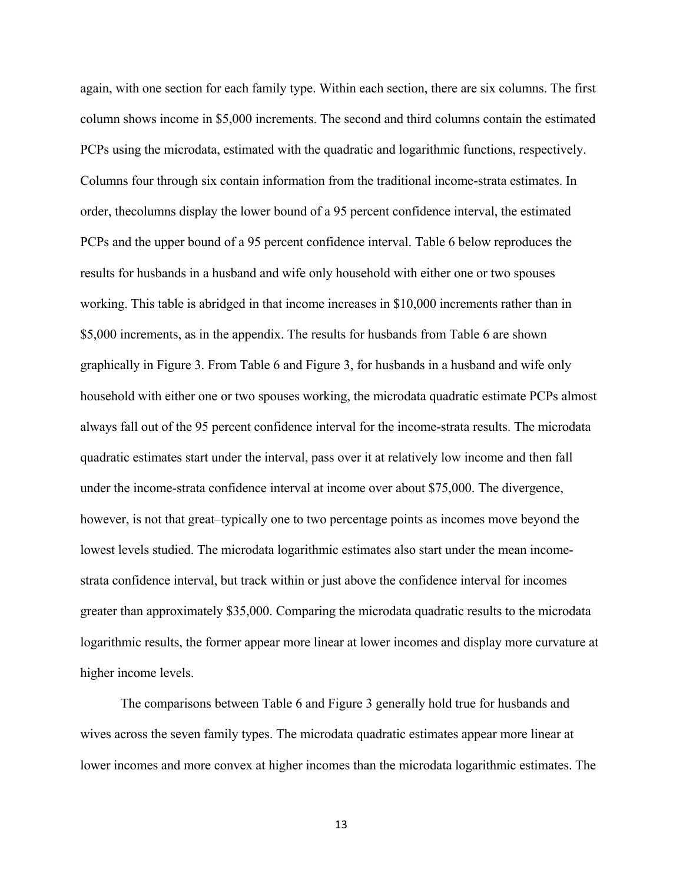again, with one section for each family type. Within each section, there are six columns. The first column shows income in \$5,000 increments. The second and third columns contain the estimated PCPs using the microdata, estimated with the quadratic and logarithmic functions, respectively. Columns four through six contain information from the traditional income-strata estimates. In order, thecolumns display the lower bound of a 95 percent confidence interval, the estimated PCPs and the upper bound of a 95 percent confidence interval. Table 6 below reproduces the results for husbands in a husband and wife only household with either one or two spouses working. This table is abridged in that income increases in \$10,000 increments rather than in \$5,000 increments, as in the appendix. The results for husbands from Table 6 are shown graphically in Figure 3. From Table 6 and Figure 3, for husbands in a husband and wife only household with either one or two spouses working, the microdata quadratic estimate PCPs almost always fall out of the 95 percent confidence interval for the income-strata results. The microdata quadratic estimates start under the interval, pass over it at relatively low income and then fall under the income-strata confidence interval at income over about \$75,000. The divergence, however, is not that great–typically one to two percentage points as incomes move beyond the lowest levels studied. The microdata logarithmic estimates also start under the mean incomestrata confidence interval, but track within or just above the confidence interval for incomes greater than approximately \$35,000. Comparing the microdata quadratic results to the microdata logarithmic results, the former appear more linear at lower incomes and display more curvature at higher income levels.

The comparisons between Table 6 and Figure 3 generally hold true for husbands and wives across the seven family types. The microdata quadratic estimates appear more linear at lower incomes and more convex at higher incomes than the microdata logarithmic estimates. The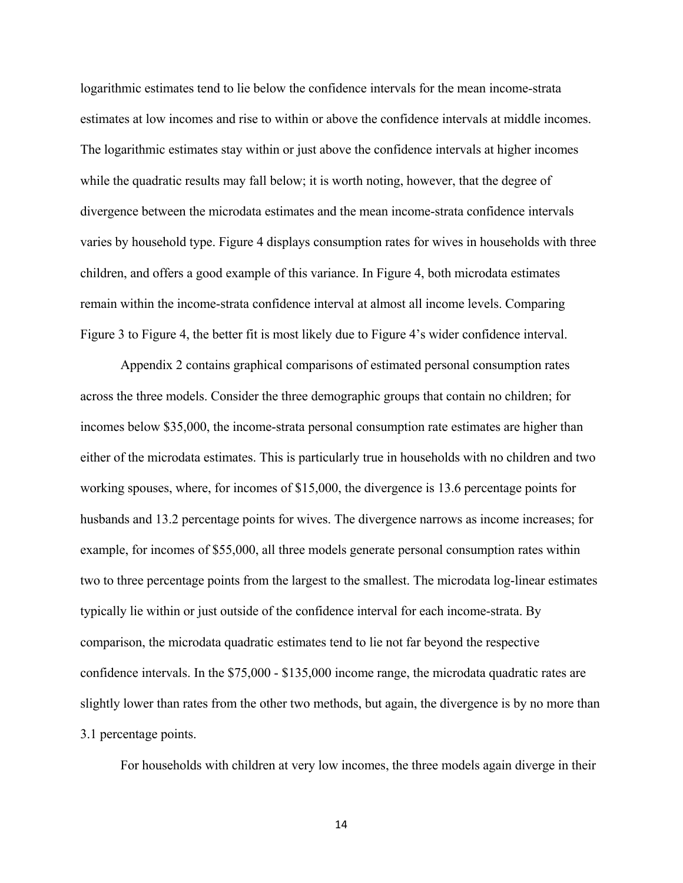logarithmic estimates tend to lie below the confidence intervals for the mean income-strata estimates at low incomes and rise to within or above the confidence intervals at middle incomes. The logarithmic estimates stay within or just above the confidence intervals at higher incomes while the quadratic results may fall below; it is worth noting, however, that the degree of divergence between the microdata estimates and the mean income-strata confidence intervals varies by household type. Figure 4 displays consumption rates for wives in households with three children, and offers a good example of this variance. In Figure 4, both microdata estimates remain within the income-strata confidence interval at almost all income levels. Comparing Figure 3 to Figure 4, the better fit is most likely due to Figure 4's wider confidence interval.

Appendix 2 contains graphical comparisons of estimated personal consumption rates across the three models. Consider the three demographic groups that contain no children; for incomes below \$35,000, the income-strata personal consumption rate estimates are higher than either of the microdata estimates. This is particularly true in households with no children and two working spouses, where, for incomes of \$15,000, the divergence is 13.6 percentage points for husbands and 13.2 percentage points for wives. The divergence narrows as income increases; for example, for incomes of \$55,000, all three models generate personal consumption rates within two to three percentage points from the largest to the smallest. The microdata log-linear estimates typically lie within or just outside of the confidence interval for each income-strata. By comparison, the microdata quadratic estimates tend to lie not far beyond the respective confidence intervals. In the \$75,000 - \$135,000 income range, the microdata quadratic rates are slightly lower than rates from the other two methods, but again, the divergence is by no more than 3.1 percentage points.

For households with children at very low incomes, the three models again diverge in their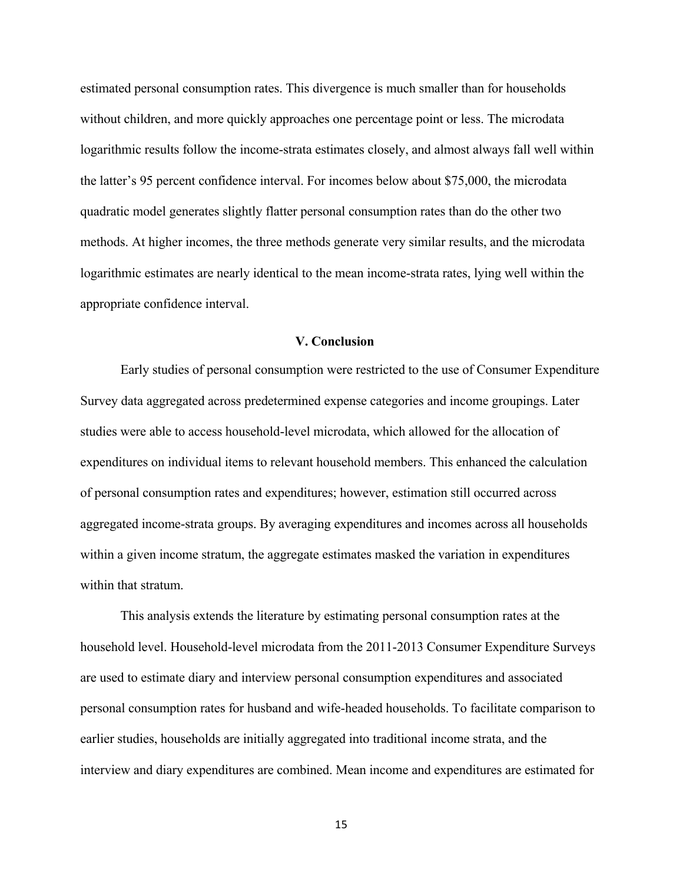estimated personal consumption rates. This divergence is much smaller than for households without children, and more quickly approaches one percentage point or less. The microdata logarithmic results follow the income-strata estimates closely, and almost always fall well within the latter's 95 percent confidence interval. For incomes below about \$75,000, the microdata quadratic model generates slightly flatter personal consumption rates than do the other two methods. At higher incomes, the three methods generate very similar results, and the microdata logarithmic estimates are nearly identical to the mean income-strata rates, lying well within the appropriate confidence interval.

# **V. Conclusion**

Early studies of personal consumption were restricted to the use of Consumer Expenditure Survey data aggregated across predetermined expense categories and income groupings. Later studies were able to access household-level microdata, which allowed for the allocation of expenditures on individual items to relevant household members. This enhanced the calculation of personal consumption rates and expenditures; however, estimation still occurred across aggregated income-strata groups. By averaging expenditures and incomes across all households within a given income stratum, the aggregate estimates masked the variation in expenditures within that stratum.

This analysis extends the literature by estimating personal consumption rates at the household level. Household-level microdata from the 2011-2013 Consumer Expenditure Surveys are used to estimate diary and interview personal consumption expenditures and associated personal consumption rates for husband and wife-headed households. To facilitate comparison to earlier studies, households are initially aggregated into traditional income strata, and the interview and diary expenditures are combined. Mean income and expenditures are estimated for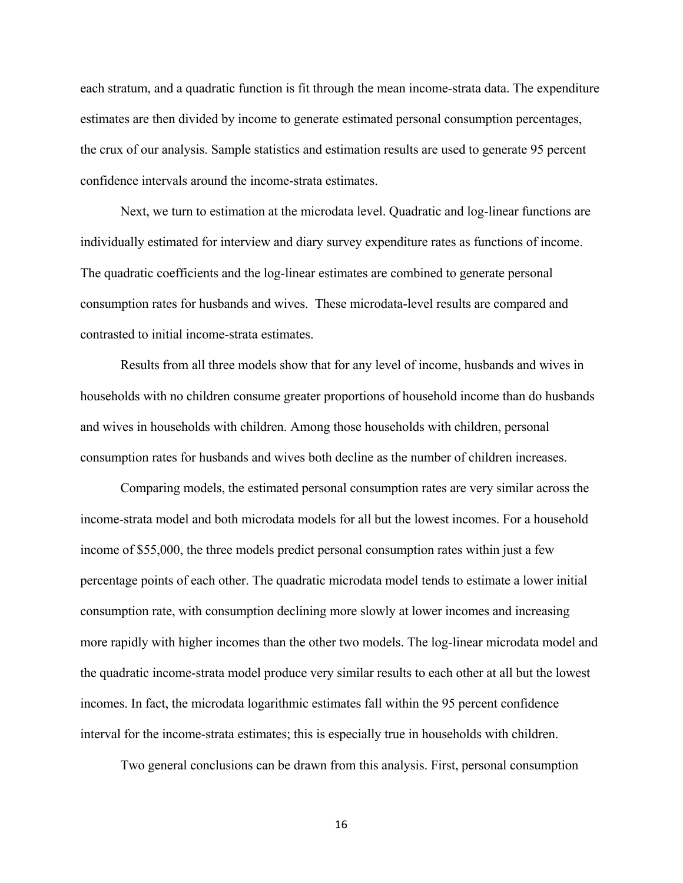each stratum, and a quadratic function is fit through the mean income-strata data. The expenditure estimates are then divided by income to generate estimated personal consumption percentages, the crux of our analysis. Sample statistics and estimation results are used to generate 95 percent confidence intervals around the income-strata estimates.

Next, we turn to estimation at the microdata level. Quadratic and log-linear functions are individually estimated for interview and diary survey expenditure rates as functions of income. The quadratic coefficients and the log-linear estimates are combined to generate personal consumption rates for husbands and wives. These microdata-level results are compared and contrasted to initial income-strata estimates.

Results from all three models show that for any level of income, husbands and wives in households with no children consume greater proportions of household income than do husbands and wives in households with children. Among those households with children, personal consumption rates for husbands and wives both decline as the number of children increases.

Comparing models, the estimated personal consumption rates are very similar across the income-strata model and both microdata models for all but the lowest incomes. For a household income of \$55,000, the three models predict personal consumption rates within just a few percentage points of each other. The quadratic microdata model tends to estimate a lower initial consumption rate, with consumption declining more slowly at lower incomes and increasing more rapidly with higher incomes than the other two models. The log-linear microdata model and the quadratic income-strata model produce very similar results to each other at all but the lowest incomes. In fact, the microdata logarithmic estimates fall within the 95 percent confidence interval for the income-strata estimates; this is especially true in households with children.

Two general conclusions can be drawn from this analysis. First, personal consumption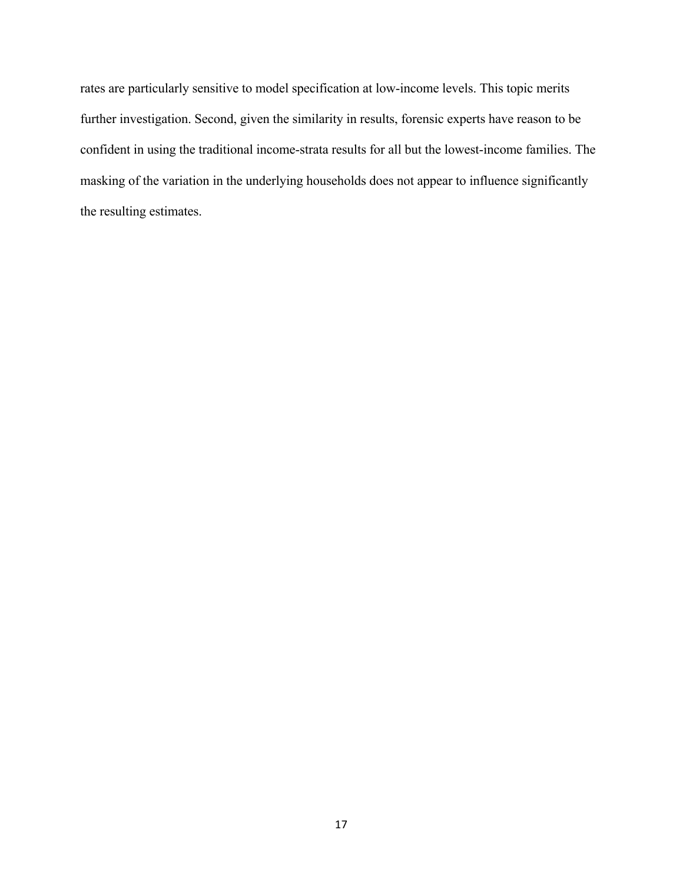rates are particularly sensitive to model specification at low-income levels. This topic merits further investigation. Second, given the similarity in results, forensic experts have reason to be confident in using the traditional income-strata results for all but the lowest-income families. The masking of the variation in the underlying households does not appear to influence significantly the resulting estimates.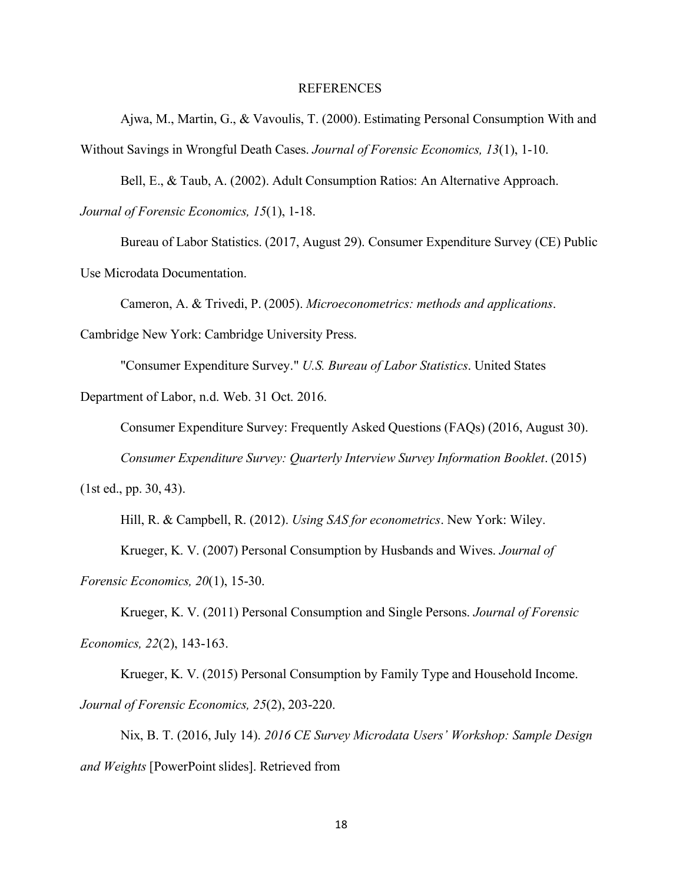### REFERENCES

Ajwa, M., Martin, G., & Vavoulis, T. (2000). Estimating Personal Consumption With and Without Savings in Wrongful Death Cases. *Journal of Forensic Economics, 13*(1), 1-10.

Bell, E., & Taub, A. (2002). Adult Consumption Ratios: An Alternative Approach.

*Journal of Forensic Economics, 15*(1), 1-18.

Bureau of Labor Statistics. (2017, August 29). Consumer Expenditure Survey (CE) Public Use Microdata Documentation.

Cameron, A. & Trivedi, P. (2005). *Microeconometrics: methods and applications*.

Cambridge New York: Cambridge University Press.

"Consumer Expenditure Survey." *U.S. Bureau of Labor Statistics*. United States

Department of Labor, n.d. Web. 31 Oct. 2016.

Consumer Expenditure Survey: Frequently Asked Questions (FAQs) (2016, August 30).

*Consumer Expenditure Survey: Quarterly Interview Survey Information Booklet*. (2015)

(1st ed., pp. 30, 43).

Hill, R. & Campbell, R. (2012). *Using SAS for econometrics*. New York: Wiley.

Krueger, K. V. (2007) Personal Consumption by Husbands and Wives. *Journal of*

*Forensic Economics, 20*(1), 15-30.

Krueger, K. V. (2011) Personal Consumption and Single Persons. *Journal of Forensic Economics, 22*(2), 143-163.

Krueger, K. V. (2015) Personal Consumption by Family Type and Household Income. *Journal of Forensic Economics, 25*(2), 203-220.

Nix, B. T. (2016, July 14). *2016 CE Survey Microdata Users' Workshop: Sample Design and Weights* [PowerPoint slides]. Retrieved from